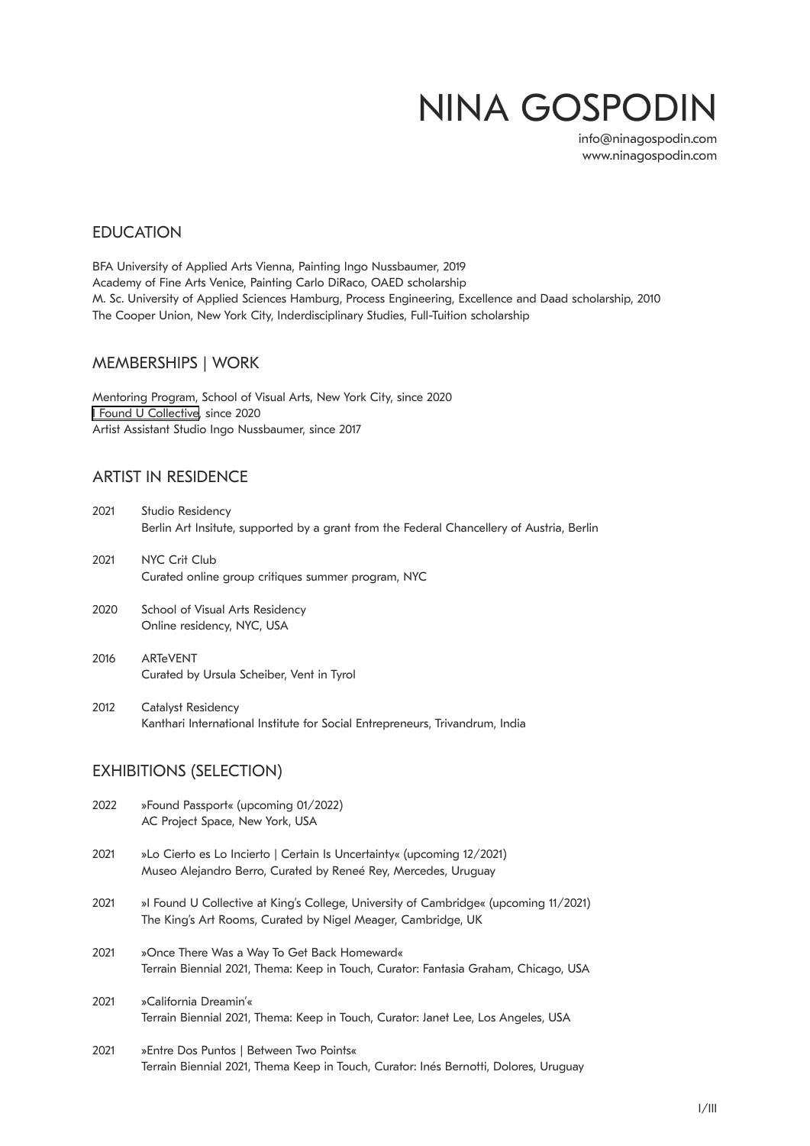# NINA GOSPODIN

[info@ninagospodin.com](mailto:info@ninagospodin.com) [www.ninagospodin.com](https://www.ninagospodin.com/)

## **EDUCATION**

BFA University of Applied Arts Vienna, Painting Ingo Nussbaumer, 2019 Academy of Fine Arts Venice, Painting Carlo DiRaco, OAED scholarship M. Sc. University of Applied Sciences Hamburg, Process Engineering, Excellence and Daad scholarship, 2010 The Cooper Union, New York City, Inderdisciplinary Studies, Full-Tuition scholarship

## MEMBERSHIPS | WORK

Mentoring Program, School of Visual Arts, New York City, since 2020 [I Found U Collective](https://ifounducollective.com/), since 2020 Artist Assistant Studio Ingo Nussbaumer, since 2017

## ARTIST IN RESIDENCE

| 2021 | Studio Residency<br>Berlin Art Insitute, supported by a grant from the Federal Chancellery of Austria, Berlin |
|------|---------------------------------------------------------------------------------------------------------------|
| 2021 | NYC Crit Club<br>Curated online group critiques summer program, NYC                                           |
| 2020 | School of Visual Arts Residency<br>Online residency, NYC, USA                                                 |

2016 ARTeVENT Curated by Ursula Scheiber, Vent in Tyrol

2012 Catalyst Residency Kanthari International Institute for Social Entrepreneurs, Trivandrum, India

# EXHIBITIONS (SELECTION)

| 2022 | »Found Passport« (upcoming 01/2022)<br>AC Project Space, New York, USA                                                                               |
|------|------------------------------------------------------------------------------------------------------------------------------------------------------|
| 2021 | »Lo Cierto es Lo Incierto   Certain Is Uncertainty« (upcoming 12/2021)<br>Museo Alejandro Berro, Curated by Reneé Rey, Mercedes, Uruguay             |
| 2021 | »I Found U Collective at King's College, University of Cambridge« (upcoming 11/2021)<br>The King's Art Rooms, Curated by Nigel Meager, Cambridge, UK |
| 2021 | »Once There Was a Way To Get Back Homeward«<br>Terrain Biennial 2021, Thema: Keep in Touch, Curator: Fantasia Graham, Chicago, USA                   |
| 2021 | »California Dreamin'«<br>Terrain Biennial 2021, Thema: Keep in Touch, Curator: Janet Lee, Los Angeles, USA                                           |

2021 »Entre Dos Puntos | Between Two Points« Terrain Biennial 2021, Thema Keep in Touch, Curator: Inés Bernotti, Dolores, Uruguay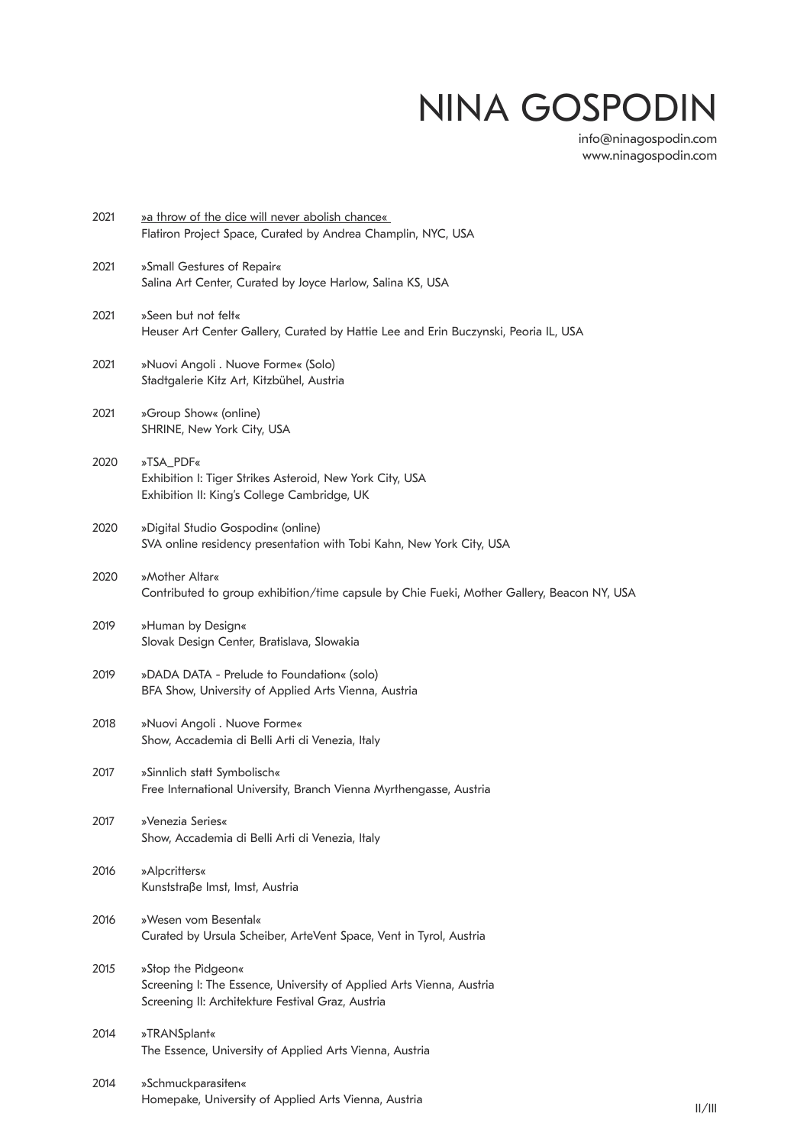# NINA GOSPODIN

[info@ninagospodin.com](mailto:info@ninagospodin.com) [www.ninagospodin.com](https://www.ninagospodin.com/)

| 2021 | » a throw of the dice will never abolish chance«<br>Flatiron Project Space, Curated by Andrea Champlin, NYC, USA                                |
|------|-------------------------------------------------------------------------------------------------------------------------------------------------|
| 2021 | »Small Gestures of Repair«<br>Salina Art Center, Curated by Joyce Harlow, Salina KS, USA                                                        |
| 2021 | »Seen but not felt«<br>Heuser Art Center Gallery, Curated by Hattie Lee and Erin Buczynski, Peoria IL, USA                                      |
| 2021 | »Nuovi Angoli . Nuove Forme« (Solo)<br>Stadtgalerie Kitz Art, Kitzbühel, Austria                                                                |
| 2021 | »Group Show« (online)<br>SHRINE, New York City, USA                                                                                             |
| 2020 | »TSA_PDF«<br>Exhibition I: Tiger Strikes Asteroid, New York City, USA<br>Exhibition II: King's College Cambridge, UK                            |
| 2020 | »Digital Studio Gospodin« (online)<br>SVA online residency presentation with Tobi Kahn, New York City, USA                                      |
| 2020 | »Mother Altar«<br>Contributed to group exhibition/time capsule by Chie Fueki, Mother Gallery, Beacon NY, USA                                    |
| 2019 | »Human by Design«<br>Slovak Design Center, Bratislava, Slowakia                                                                                 |
| 2019 | »DADA DATA - Prelude to Foundation« (solo)<br>BFA Show, University of Applied Arts Vienna, Austria                                              |
| 2018 | »Nuovi Angoli . Nuove Forme«<br>Show, Accademia di Belli Arti di Venezia, Italy                                                                 |
| 2017 | »Sinnlich statt Symbolisch«<br>Free International University, Branch Vienna Myrthengasse, Austria                                               |
| 2017 | »Venezia Series«<br>Show, Accademia di Belli Arti di Venezia, Italy                                                                             |
| 2016 | »Alpcritters«<br>Kunststraße Imst, Imst, Austria                                                                                                |
| 2016 | »Wesen vom Besental«<br>Curated by Ursula Scheiber, ArteVent Space, Vent in Tyrol, Austria                                                      |
| 2015 | »Stop the Pidgeon«<br>Screening I: The Essence, University of Applied Arts Vienna, Austria<br>Screening II: Architekture Festival Graz, Austria |
| 2014 | »TRANSplant«<br>The Essence, University of Applied Arts Vienna, Austria                                                                         |
| 2014 | »Schmuckparasiten«<br>Homepake, University of Applied Arts Vienna, Austria                                                                      |